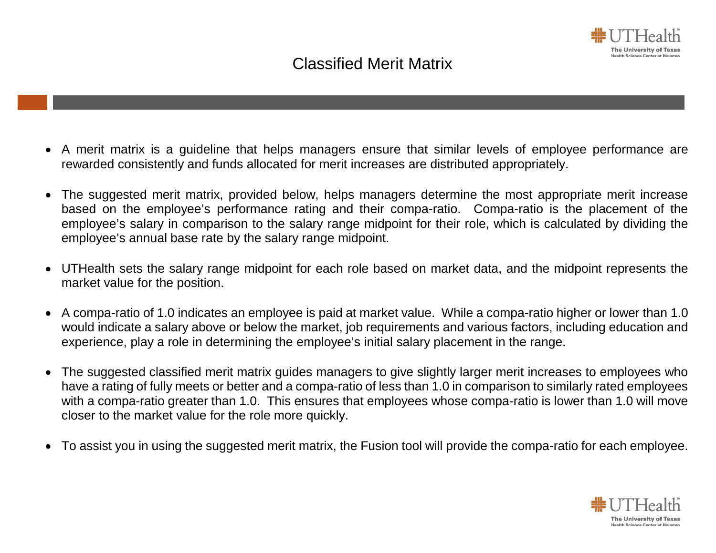## Classified Merit Matrix

- A merit matrix is a guideline that helps managers ensure that similar levels of employee performance are rewarded consistently and funds allocated for merit increases are distributed appropriately.
- The suggested merit matrix, provided below, helps managers determine the most appropriate merit increase based on the employee's performance rating and their compa-ratio. Compa-ratio is the placement of the employee's salary in comparison to the salary range midpoint for their role, which is calculated by dividing the employee's annual base rate by the salary range midpoint.
- UTHealth sets the salary range midpoint for each role based on market data, and the midpoint represents the market value for the position.
- A compa-ratio of 1.0 indicates an employee is paid at market value. While a compa-ratio higher or lower than 1.0 would indicate a salary above or below the market, job requirements and various factors, including education and experience, play a role in determining the employee's initial salary placement in the range.
- The suggested classified merit matrix guides managers to give slightly larger merit increases to employees who have a rating of fully meets or better and a compa-ratio of less than 1.0 in comparison to similarly rated employees with a compa-ratio greater than 1.0. This ensures that employees whose compa-ratio is lower than 1.0 will move closer to the market value for the role more quickly.
- To assist you in using the suggested merit matrix, the Fusion tool will provide the compa-ratio for each employee.